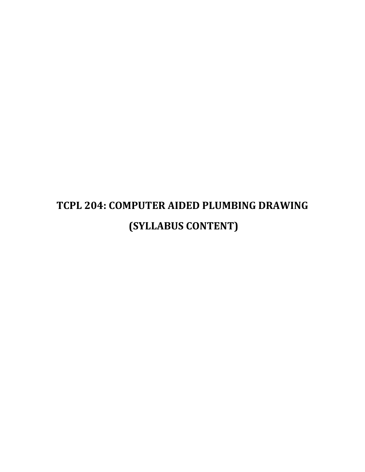# **TCPL 204: COMPUTER AIDED PLUMBING DRAWING (SYLLABUS CONTENT)**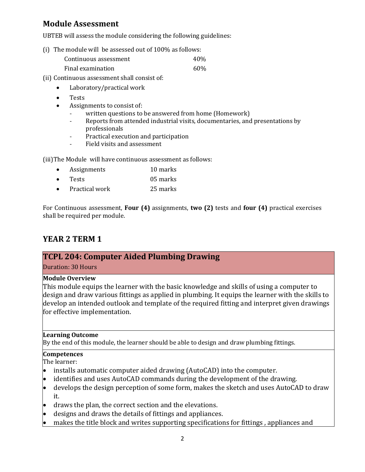# **Module Assessment**

UBTEB will assess the module considering the following guidelines:

(i) The module will be assessed out of 100% as follows:

| Continuous assessment | 40% |
|-----------------------|-----|
| Final examination     | 60% |

- (ii) Continuous assessment shall consist of:
	- Laboratory/practical work
	- Tests
	- Assignments to consist of:
		- written questions to be answered from home (Homework)
		- Reports from attended industrial visits, documentaries, and presentations by professionals
		- Practical execution and participation
		- Field visits and assessment

(iii)The Module will have continuous assessment as follows:

- Assignments 10 marks
- Tests 05 marks
- Practical work 25 marks

For Continuous assessment, **Four (4)** assignments, **two (2)** tests and **four (4)** practical exercises shall be required per module.

# **YEAR 2 TERM 1**

## **TCPL 204: Computer Aided Plumbing Drawing**

Duration: 30 Hours

## **Module Overview**

This module equips the learner with the basic knowledge and skills of using a computer to design and draw various fittings as applied in plumbing. It equips the learner with the skills to develop an intended outlook and template of the required fitting and interpret given drawings for effective implementation.

## **Learning Outcome**

By the end of this module, the learner should be able to design and draw plumbing fittings.

## **Competences**

The learner:

- installs automatic computer aided drawing (AutoCAD) into the computer.
- identifies and uses AutoCAD commands during the development of the drawing.
- develops the design perception of some form, makes the sketch and uses AutoCAD to draw it.
- draws the plan, the correct section and the elevations.
- designs and draws the details of fittings and appliances.
- makes the title block and writes supporting specifications for fittings , appliances and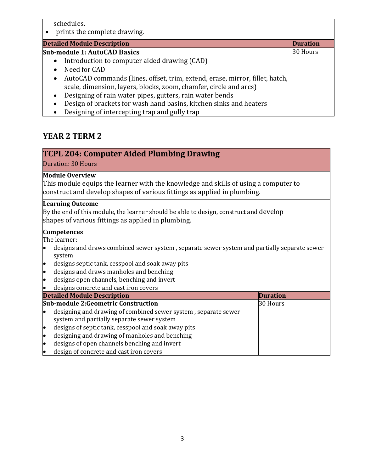schedules.

prints the complete drawing.

## **Detailed Module Description Duration**

#### **Sub-module 1: AutoCAD Basics**

- Introduction to computer aided drawing (CAD)
- Need for CAD
- AutoCAD commands (lines, offset, trim, extend, erase, mirror, fillet, hatch, scale, dimension, layers, blocks, zoom, chamfer, circle and arcs)

30 Hours

- Designing of rain water pipes, gutters, rain water bends
- Design of brackets for wash hand basins, kitchen sinks and heaters
- Designing of intercepting trap and gully trap

## **YEAR 2 TERM 2**

## **TCPL 204: Computer Aided Plumbing Drawing**

Duration: 30 Hours

## **Module Overview**

This module equips the learner with the knowledge and skills of using a computer to construct and develop shapes of various fittings as applied in plumbing.

## **Learning Outcome**

By the end of this module, the learner should be able to design, construct and develop shapes of various fittings as applied in plumbing.

#### **Competences**

The learner:

- designs and draws combined sewer system , separate sewer system and partially separate sewer system
- designs septic tank, cesspool and soak away pits
- designs and draws manholes and benching
- designs open channels, benching and invert
- designs concrete and cast iron covers

**Detailed Module Description Duration** 

| Detanea module Describuon |                                                                | .        |
|---------------------------|----------------------------------------------------------------|----------|
|                           | <b>Sub-module 2:Geometric Construction</b>                     | 30 Hours |
| lo                        | designing and drawing of combined sewer system, separate sewer |          |
|                           | system and partially separate sewer system                     |          |
| lo                        | designs of septic tank, cesspool and soak away pits            |          |
| lo                        | designing and drawing of manholes and benching                 |          |
| lo                        | designs of open channels benching and invert                   |          |
| lo                        | design of concrete and cast iron covers                        |          |